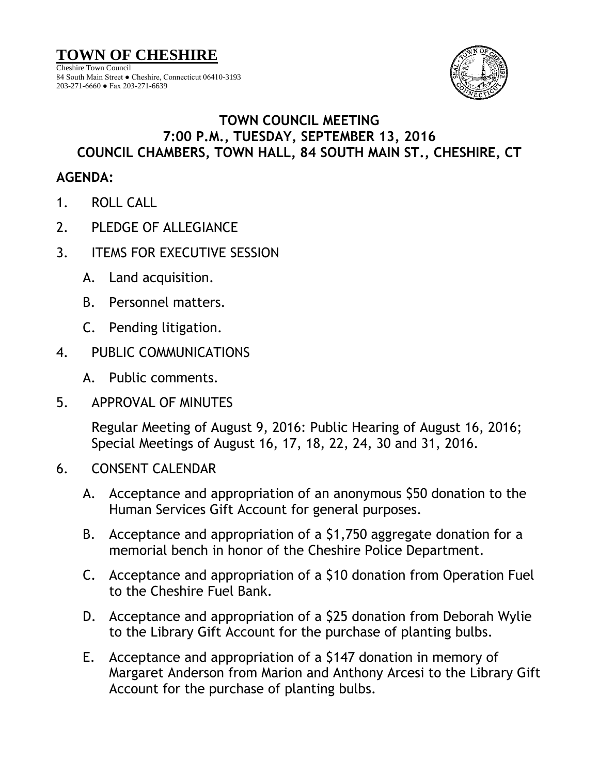

## **TOWN COUNCIL MEETING 7:00 P.M., TUESDAY, SEPTEMBER 13, 2016 COUNCIL CHAMBERS, TOWN HALL, 84 SOUTH MAIN ST., CHESHIRE, CT**

## **AGENDA:**

- 1. ROLL CALL
- 2. PLEDGE OF ALLEGIANCE
- 3. ITEMS FOR EXECUTIVE SESSION
	- A. Land acquisition.
	- B. Personnel matters.
	- C. Pending litigation.
- 4. PUBLIC COMMUNICATIONS
	- A. Public comments.
- 5. APPROVAL OF MINUTES

Regular Meeting of August 9, 2016: Public Hearing of August 16, 2016; Special Meetings of August 16, 17, 18, 22, 24, 30 and 31, 2016.

- 6. CONSENT CALENDAR
	- A. Acceptance and appropriation of an anonymous \$50 donation to the Human Services Gift Account for general purposes.
	- B. Acceptance and appropriation of a \$1,750 aggregate donation for a memorial bench in honor of the Cheshire Police Department.
	- C. Acceptance and appropriation of a \$10 donation from Operation Fuel to the Cheshire Fuel Bank.
	- D. Acceptance and appropriation of a \$25 donation from Deborah Wylie to the Library Gift Account for the purchase of planting bulbs.
	- E. Acceptance and appropriation of a \$147 donation in memory of Margaret Anderson from Marion and Anthony Arcesi to the Library Gift Account for the purchase of planting bulbs.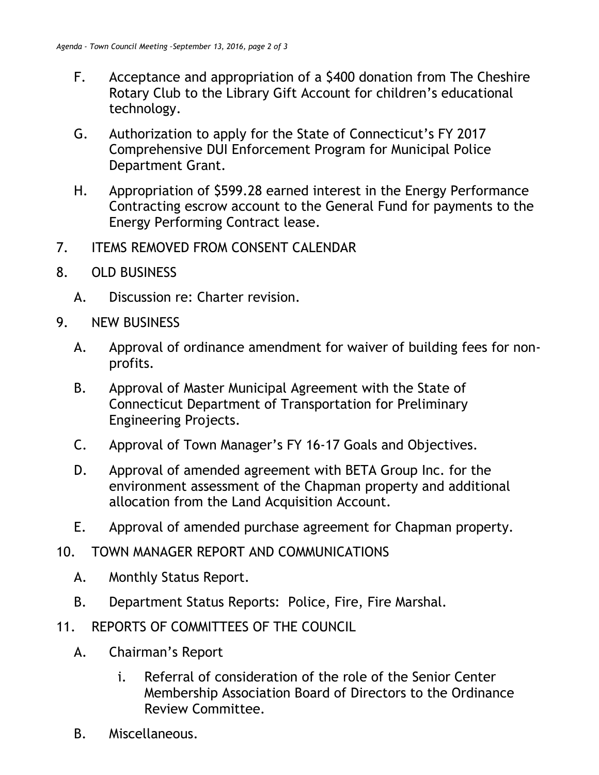- F. Acceptance and appropriation of a \$400 donation from The Cheshire Rotary Club to the Library Gift Account for children's educational technology.
- G. Authorization to apply for the State of Connecticut's FY 2017 Comprehensive DUI Enforcement Program for Municipal Police Department Grant.
- H. Appropriation of \$599.28 earned interest in the Energy Performance Contracting escrow account to the General Fund for payments to the Energy Performing Contract lease.
- 7. ITEMS REMOVED FROM CONSENT CALENDAR
- 8. OLD BUSINESS
	- A. Discussion re: Charter revision.
- 9. NEW BUSINESS
	- A. Approval of ordinance amendment for waiver of building fees for nonprofits.
	- B. Approval of Master Municipal Agreement with the State of Connecticut Department of Transportation for Preliminary Engineering Projects.
	- C. Approval of Town Manager's FY 16-17 Goals and Objectives.
	- D. Approval of amended agreement with BETA Group Inc. for the environment assessment of the Chapman property and additional allocation from the Land Acquisition Account.
	- E. Approval of amended purchase agreement for Chapman property.
- 10. TOWN MANAGER REPORT AND COMMUNICATIONS
	- A. Monthly Status Report.
	- B. Department Status Reports: Police, Fire, Fire Marshal.
- 11. REPORTS OF COMMITTEES OF THE COUNCIL
	- A. Chairman's Report
		- i. Referral of consideration of the role of the Senior Center Membership Association Board of Directors to the Ordinance Review Committee.
	- B. Miscellaneous.